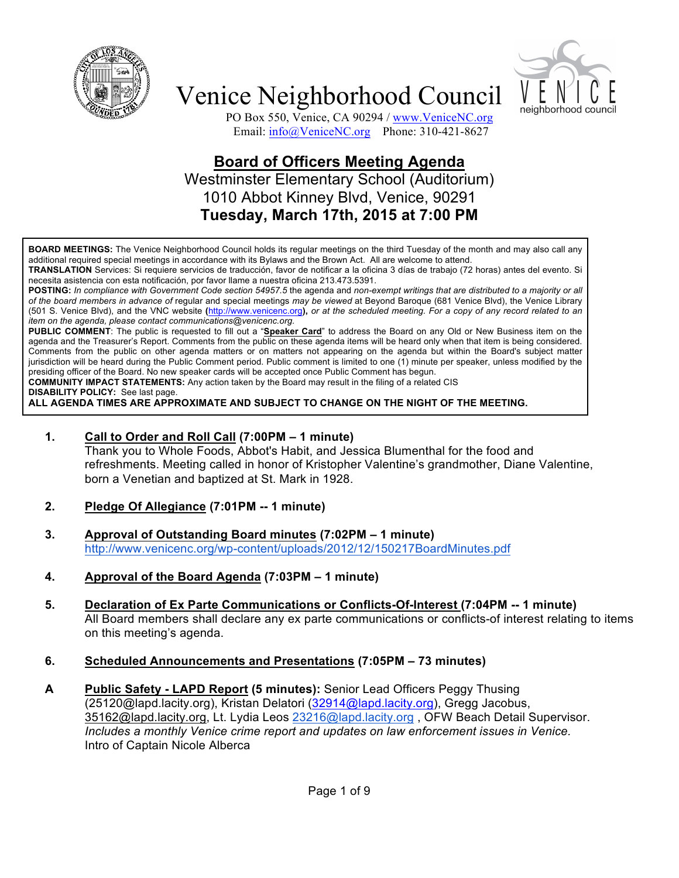



PO Box 550, Venice, CA 90294 / www.VeniceNC.org Email: info@VeniceNC.org Phone: 310-421-8627

### **Board of Officers Meeting Agenda** Westminster Elementary School (Auditorium) 1010 Abbot Kinney Blvd, Venice, 90291 **Tuesday, March 17th, 2015 at 7:00 PM**

**BOARD MEETINGS:** The Venice Neighborhood Council holds its regular meetings on the third Tuesday of the month and may also call any additional required special meetings in accordance with its Bylaws and the Brown Act. All are welcome to attend.

**TRANSLATION** Services: Si requiere servicios de traducción, favor de notificar a la oficina 3 días de trabajo (72 horas) antes del evento. Si necesita asistencia con esta notificación, por favor llame a nuestra oficina 213.473.5391.

**POSTING:** *In compliance with Government Code section 54957.5* the agenda and *non-exempt writings that are distributed to a majority or all of the board members in advance of* regular and special meetings *may be viewed* at Beyond Baroque (681 Venice Blvd), the Venice Library (501 S. Venice Blvd), and the VNC website **(**http://www.venicenc.org**),** *or at the scheduled meeting. For a copy of any record related to an item on the agenda, please contact communications@venicenc.org.*

**PUBLIC COMMENT**: The public is requested to fill out a "**Speaker Card**" to address the Board on any Old or New Business item on the agenda and the Treasurer's Report. Comments from the public on these agenda items will be heard only when that item is being considered. Comments from the public on other agenda matters or on matters not appearing on the agenda but within the Board's subject matter jurisdiction will be heard during the Public Comment period. Public comment is limited to one (1) minute per speaker, unless modified by the presiding officer of the Board. No new speaker cards will be accepted once Public Comment has begun.

**COMMUNITY IMPACT STATEMENTS:** Any action taken by the Board may result in the filing of a related CIS

**DISABILITY POLICY:** See last page.

**ALL AGENDA TIMES ARE APPROXIMATE AND SUBJECT TO CHANGE ON THE NIGHT OF THE MEETING.**

**1. Call to Order and Roll Call (7:00PM – 1 minute)**

Thank you to Whole Foods, Abbot's Habit, and Jessica Blumenthal for the food and refreshments. Meeting called in honor of Kristopher Valentine's grandmother, Diane Valentine, born a Venetian and baptized at St. Mark in 1928.

- **2. Pledge Of Allegiance (7:01PM -- 1 minute)**
- **3. Approval of Outstanding Board minutes (7:02PM – 1 minute)** http://www.venicenc.org/wp-content/uploads/2012/12/150217BoardMinutes.pdf
- **4. Approval of the Board Agenda (7:03PM – 1 minute)**
- **5. Declaration of Ex Parte Communications or Conflicts-Of-Interest (7:04PM -- 1 minute)**  All Board members shall declare any ex parte communications or conflicts-of interest relating to items on this meeting's agenda.
- **6. Scheduled Announcements and Presentations (7:05PM – 73 minutes)**
- **A Public Safety - LAPD Report (5 minutes):** Senior Lead Officers Peggy Thusing (25120@lapd.lacity.org), Kristan Delatori (32914@lapd.lacity.org), Gregg Jacobus, 35162@lapd.lacity.org, Lt. Lydia Leos 23216@lapd.lacity.org , OFW Beach Detail Supervisor. *Includes a monthly Venice crime report and updates on law enforcement issues in Venice.* Intro of Captain Nicole Alberca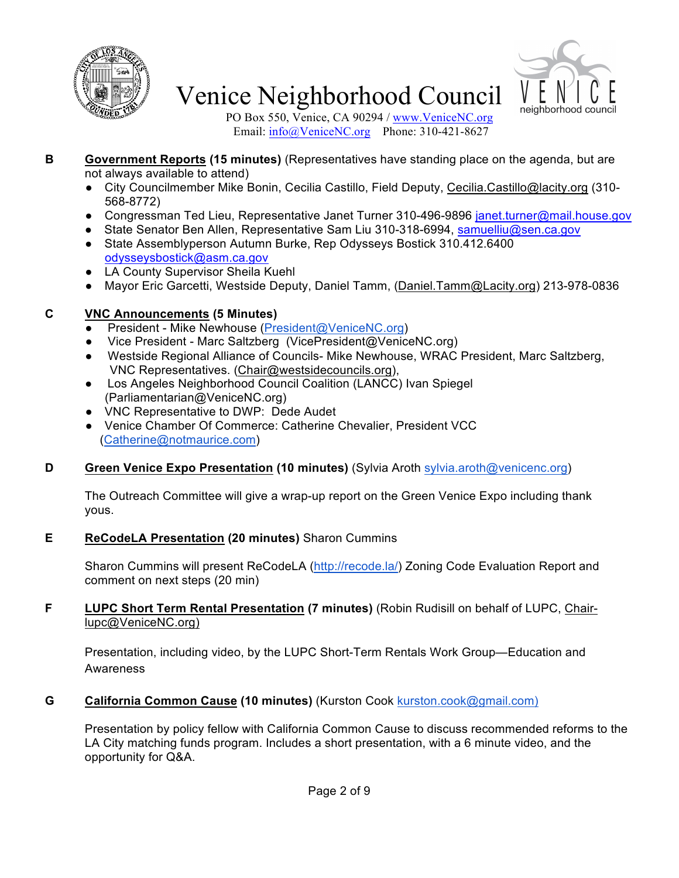



PO Box 550, Venice, CA 90294 / www.VeniceNC.org Email: info@VeniceNC.org Phone: 310-421-8627

- **B Government Reports (15 minutes)** (Representatives have standing place on the agenda, but are not always available to attend)
	- City Councilmember Mike Bonin, Cecilia Castillo, Field Deputy, Cecilia.Castillo@lacity.org (310-568-8772)
	- Congressman Ted Lieu, Representative Janet Turner 310-496-9896 janet.turner@mail.house.gov
	- State Senator Ben Allen, Representative Sam Liu 310-318-6994, samuelliu@sen.ca.gov
	- State Assemblyperson Autumn Burke, Rep Odysseys Bostick 310.412.6400 odysseysbostick@asm.ca.gov
	- LA County Supervisor Sheila Kuehl
	- Mayor Eric Garcetti, Westside Deputy, Daniel Tamm, (Daniel.Tamm@Lacity.org) 213-978-0836

### **C VNC Announcements (5 Minutes)**

- President Mike Newhouse (President@VeniceNC.org)
- Vice President Marc Saltzberg (VicePresident@VeniceNC.org)
- Westside Regional Alliance of Councils- Mike Newhouse, WRAC President, Marc Saltzberg, VNC Representatives. (Chair@westsidecouncils.org),
- Los Angeles Neighborhood Council Coalition (LANCC) Ivan Spiegel (Parliamentarian@VeniceNC.org)
- VNC Representative to DWP: Dede Audet
- Venice Chamber Of Commerce: Catherine Chevalier, President VCC (Catherine@notmaurice.com)

### **D Green Venice Expo Presentation (10 minutes)** (Sylvia Aroth sylvia.aroth@venicenc.org)

The Outreach Committee will give a wrap-up report on the Green Venice Expo including thank yous.

### **E ReCodeLA Presentation (20 minutes)** Sharon Cummins

Sharon Cummins will present ReCodeLA (http://recode.la/) Zoning Code Evaluation Report and comment on next steps (20 min)

#### **F LUPC Short Term Rental Presentation (7 minutes)** (Robin Rudisill on behalf of LUPC, Chairlupc@VeniceNC.org)

Presentation, including video, by the LUPC Short-Term Rentals Work Group—Education and Awareness

#### **G California Common Cause (10 minutes)** (Kurston Cook kurston.cook@gmail.com)

Presentation by policy fellow with California Common Cause to discuss recommended reforms to the LA City matching funds program. Includes a short presentation, with a 6 minute video, and the opportunity for Q&A.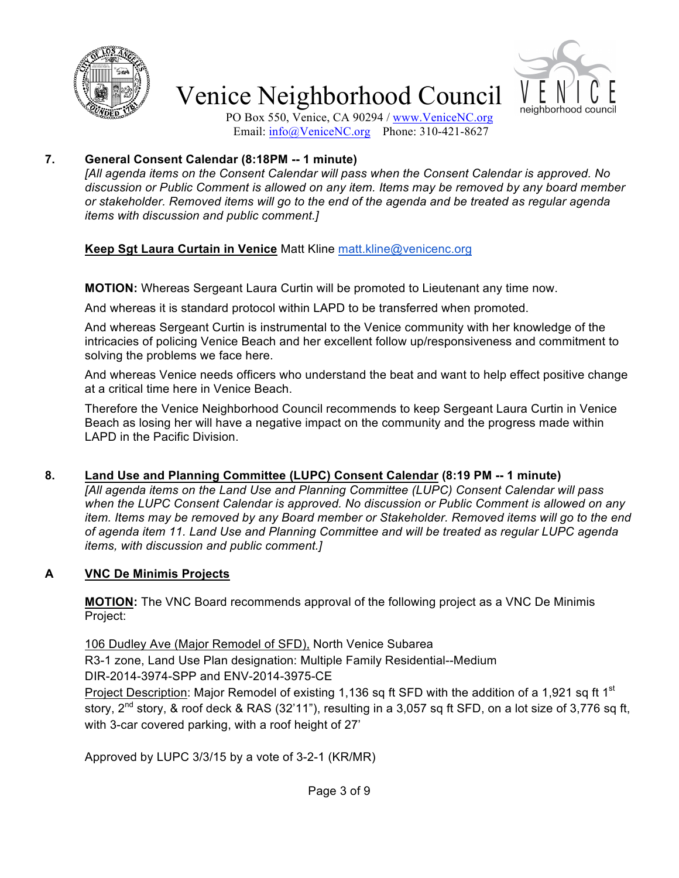



PO Box 550, Venice, CA 90294 / www.VeniceNC.org Email: info@VeniceNC.org Phone: 310-421-8627

#### **7. General Consent Calendar (8:18PM -- 1 minute)**

*[All agenda items on the Consent Calendar will pass when the Consent Calendar is approved. No discussion or Public Comment is allowed on any item. Items may be removed by any board member or stakeholder. Removed items will go to the end of the agenda and be treated as regular agenda items with discussion and public comment.]*

### **Keep Sgt Laura Curtain in Venice** Matt Kline matt.kline@venicenc.org

**MOTION:** Whereas Sergeant Laura Curtin will be promoted to Lieutenant any time now.

And whereas it is standard protocol within LAPD to be transferred when promoted.

And whereas Sergeant Curtin is instrumental to the Venice community with her knowledge of the intricacies of policing Venice Beach and her excellent follow up/responsiveness and commitment to solving the problems we face here.

And whereas Venice needs officers who understand the beat and want to help effect positive change at a critical time here in Venice Beach.

Therefore the Venice Neighborhood Council recommends to keep Sergeant Laura Curtin in Venice Beach as losing her will have a negative impact on the community and the progress made within LAPD in the Pacific Division.

#### **8. Land Use and Planning Committee (LUPC) Consent Calendar (8:19 PM -- 1 minute)**

*[All agenda items on the Land Use and Planning Committee (LUPC) Consent Calendar will pass when the LUPC Consent Calendar is approved. No discussion or Public Comment is allowed on any item. Items may be removed by any Board member or Stakeholder. Removed items will go to the end of agenda item 11. Land Use and Planning Committee and will be treated as regular LUPC agenda items, with discussion and public comment.]*

#### **A VNC De Minimis Projects**

**MOTION:** The VNC Board recommends approval of the following project as a VNC De Minimis Project:

106 Dudley Ave (Major Remodel of SFD), North Venice Subarea

R3-1 zone, Land Use Plan designation: Multiple Family Residential--Medium

DIR-2014-3974-SPP and ENV-2014-3975-CE

Project Description: Major Remodel of existing 1,136 sq ft SFD with the addition of a 1,921 sq ft 1<sup>st</sup> story, 2<sup>nd</sup> story, & roof deck & RAS (32'11"), resulting in a 3,057 sq ft SFD, on a lot size of 3,776 sq ft, with 3-car covered parking, with a roof height of 27'

Approved by LUPC 3/3/15 by a vote of 3-2-1 (KR/MR)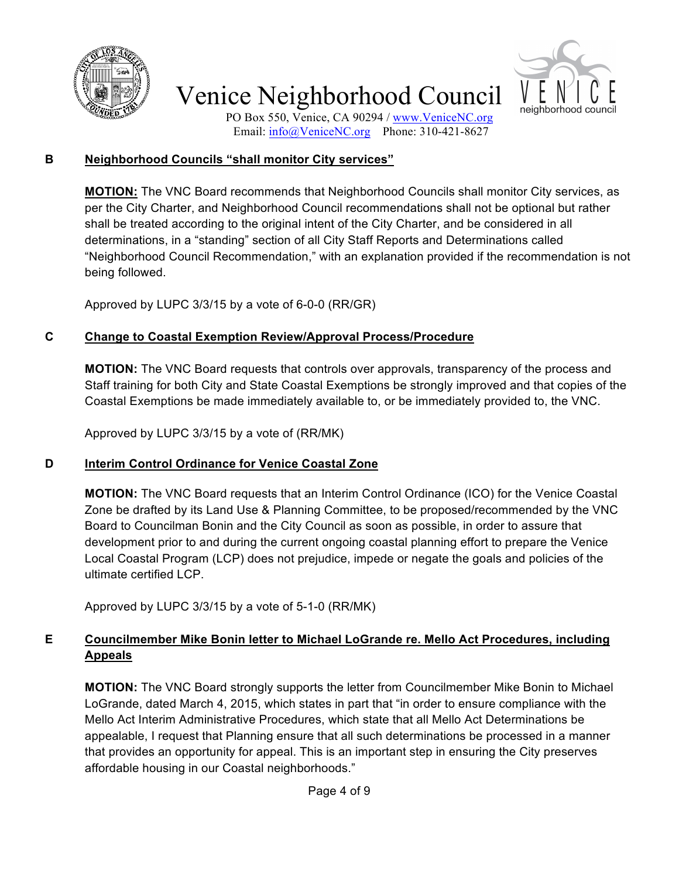



PO Box 550, Venice, CA 90294 / www.VeniceNC.org Email: info@VeniceNC.org Phone: 310-421-8627

#### **B Neighborhood Councils "shall monitor City services"**

**MOTION:** The VNC Board recommends that Neighborhood Councils shall monitor City services, as per the City Charter, and Neighborhood Council recommendations shall not be optional but rather shall be treated according to the original intent of the City Charter, and be considered in all determinations, in a "standing" section of all City Staff Reports and Determinations called "Neighborhood Council Recommendation," with an explanation provided if the recommendation is not being followed.

Approved by LUPC 3/3/15 by a vote of 6-0-0 (RR/GR)

### **C Change to Coastal Exemption Review/Approval Process/Procedure**

**MOTION:** The VNC Board requests that controls over approvals, transparency of the process and Staff training for both City and State Coastal Exemptions be strongly improved and that copies of the Coastal Exemptions be made immediately available to, or be immediately provided to, the VNC.

Approved by LUPC 3/3/15 by a vote of (RR/MK)

### **D Interim Control Ordinance for Venice Coastal Zone**

**MOTION:** The VNC Board requests that an Interim Control Ordinance (ICO) for the Venice Coastal Zone be drafted by its Land Use & Planning Committee, to be proposed/recommended by the VNC Board to Councilman Bonin and the City Council as soon as possible, in order to assure that development prior to and during the current ongoing coastal planning effort to prepare the Venice Local Coastal Program (LCP) does not prejudice, impede or negate the goals and policies of the ultimate certified LCP.

Approved by LUPC 3/3/15 by a vote of 5-1-0 (RR/MK)

### **E Councilmember Mike Bonin letter to Michael LoGrande re. Mello Act Procedures, including Appeals**

**MOTION:** The VNC Board strongly supports the letter from Councilmember Mike Bonin to Michael LoGrande, dated March 4, 2015, which states in part that "in order to ensure compliance with the Mello Act Interim Administrative Procedures, which state that all Mello Act Determinations be appealable, I request that Planning ensure that all such determinations be processed in a manner that provides an opportunity for appeal. This is an important step in ensuring the City preserves affordable housing in our Coastal neighborhoods."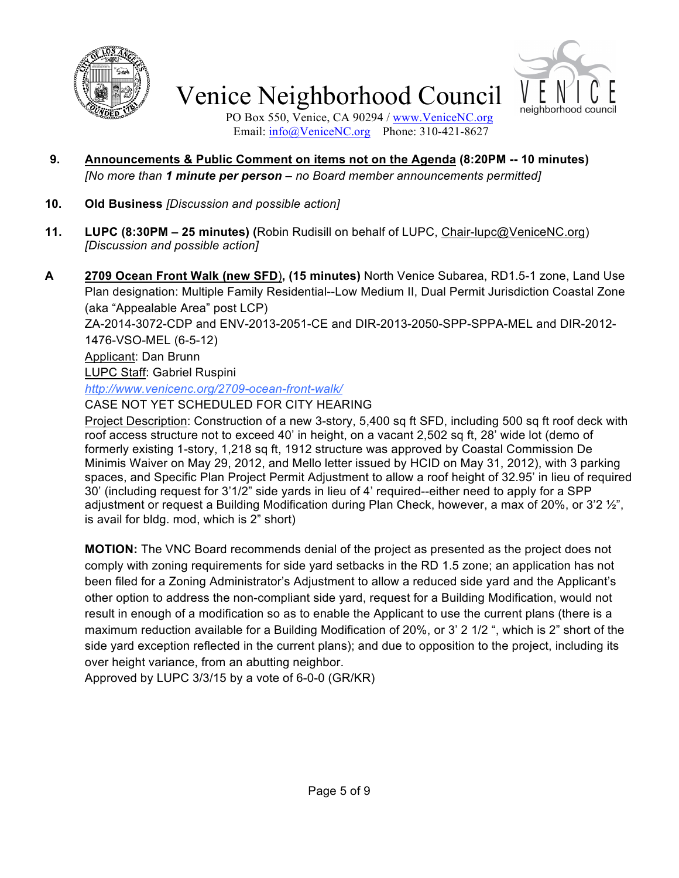



PO Box 550, Venice, CA 90294 / www.VeniceNC.org Email: info@VeniceNC.org Phone: 310-421-8627

- **9. Announcements & Public Comment on items not on the Agenda (8:20PM -- 10 minutes)** *[No more than 1 minute per person – no Board member announcements permitted]*
- **10. Old Business** *[Discussion and possible action]*
- **11. LUPC (8:30PM – 25 minutes) (**Robin Rudisill on behalf of LUPC, Chair-lupc@VeniceNC.org) *[Discussion and possible action]*
- **A 2709 Ocean Front Walk (new SFD**)**, (15 minutes)** North Venice Subarea, RD1.5-1 zone, Land Use Plan designation: Multiple Family Residential--Low Medium II, Dual Permit Jurisdiction Coastal Zone (aka "Appealable Area" post LCP)

ZA-2014-3072-CDP and ENV-2013-2051-CE and DIR-2013-2050-SPP-SPPA-MEL and DIR-2012- 1476-VSO-MEL (6-5-12)

Applicant: Dan Brunn

LUPC Staff: Gabriel Ruspini

*http://www.venicenc.org/2709-ocean-front-walk/*

CASE NOT YET SCHEDULED FOR CITY HEARING

Project Description: Construction of a new 3-story, 5,400 sq ft SFD, including 500 sq ft roof deck with roof access structure not to exceed 40' in height, on a vacant 2,502 sq ft, 28' wide lot (demo of formerly existing 1-story, 1,218 sq ft, 1912 structure was approved by Coastal Commission De Minimis Waiver on May 29, 2012, and Mello letter issued by HCID on May 31, 2012), with 3 parking spaces, and Specific Plan Project Permit Adjustment to allow a roof height of 32.95' in lieu of required 30' (including request for 3'1/2" side yards in lieu of 4' required--either need to apply for a SPP adjustment or request a Building Modification during Plan Check, however, a max of 20%, or 3'2 ½", is avail for bldg. mod, which is 2" short)

**MOTION:** The VNC Board recommends denial of the project as presented as the project does not comply with zoning requirements for side yard setbacks in the RD 1.5 zone; an application has not been filed for a Zoning Administrator's Adjustment to allow a reduced side yard and the Applicant's other option to address the non-compliant side yard, request for a Building Modification, would not result in enough of a modification so as to enable the Applicant to use the current plans (there is a maximum reduction available for a Building Modification of 20%, or 3' 2 1/2 ", which is 2" short of the side yard exception reflected in the current plans); and due to opposition to the project, including its over height variance, from an abutting neighbor.

Approved by LUPC 3/3/15 by a vote of 6-0-0 (GR/KR)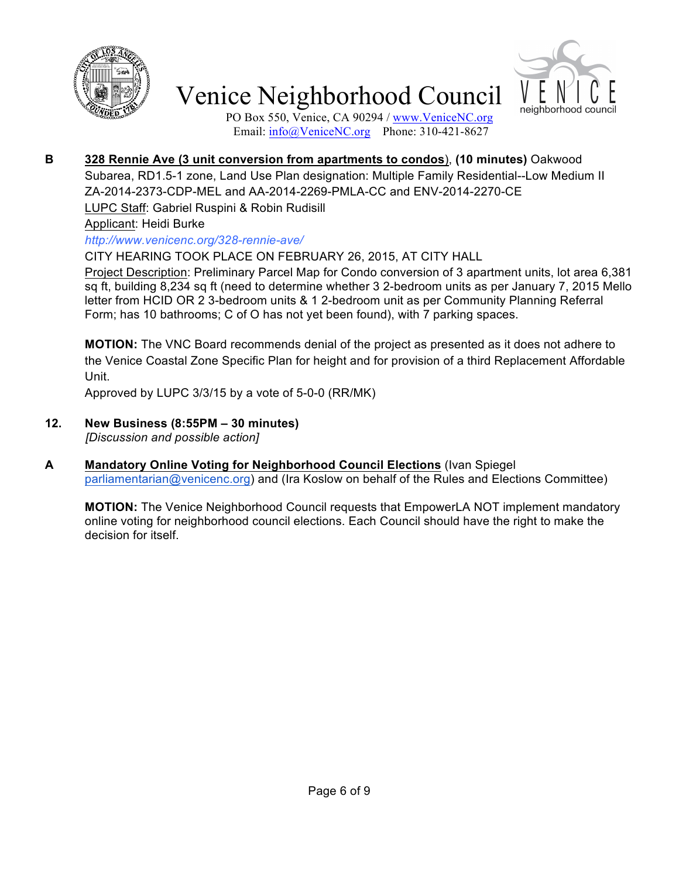



PO Box 550, Venice, CA 90294 / www.VeniceNC.org Email: info@VeniceNC.org Phone: 310-421-8627

**B 328 Rennie Ave (3 unit conversion from apartments to condos**), **(10 minutes)** Oakwood

Subarea, RD1.5-1 zone, Land Use Plan designation: Multiple Family Residential--Low Medium II ZA-2014-2373-CDP-MEL and AA-2014-2269-PMLA-CC and ENV-2014-2270-CE LUPC Staff: Gabriel Ruspini & Robin Rudisill

Applicant: Heidi Burke

*http://www.venicenc.org/328-rennie-ave/*

CITY HEARING TOOK PLACE ON FEBRUARY 26, 2015, AT CITY HALL

Project Description: Preliminary Parcel Map for Condo conversion of 3 apartment units, lot area 6,381 sq ft, building 8,234 sq ft (need to determine whether 3 2-bedroom units as per January 7, 2015 Mello letter from HCID OR 2 3-bedroom units & 1 2-bedroom unit as per Community Planning Referral Form; has 10 bathrooms; C of O has not yet been found), with 7 parking spaces.

**MOTION:** The VNC Board recommends denial of the project as presented as it does not adhere to the Venice Coastal Zone Specific Plan for height and for provision of a third Replacement Affordable Unit.

Approved by LUPC 3/3/15 by a vote of 5-0-0 (RR/MK)

- **12. New Business (8:55PM – 30 minutes)** *[Discussion and possible action]*
- **A Mandatory Online Voting for Neighborhood Council Elections** (Ivan Spiegel parliamentarian@venicenc.org) and (Ira Koslow on behalf of the Rules and Elections Committee)

**MOTION:** The Venice Neighborhood Council requests that EmpowerLA NOT implement mandatory online voting for neighborhood council elections. Each Council should have the right to make the decision for itself.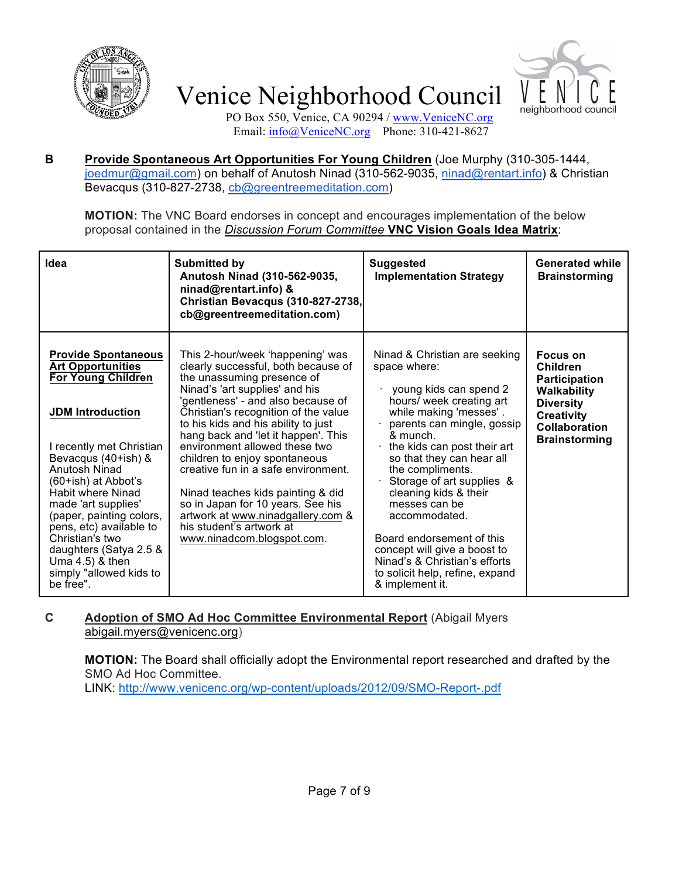



PO Box 550, Venice, CA 90294 / www.VeniceNC.org Email: info@VeniceNC.org Phone: 310-421-8627

#### **B Provide Spontaneous Art Opportunities For Young Children** (Joe Murphy (310-305-1444, joedmur@gmail.com) on behalf of Anutosh Ninad (310-562-9035, ninad@rentart.info) & Christian Bevacqus (310-827-2738, cb@greentreemeditation.com)

**MOTION:** The VNC Board endorses in concept and encourages implementation of the below proposal contained in the *Discussion Forum Committee* **VNC Vision Goals Idea Matrix**:

| Idea                                                                                                                                                                                                                                                                                                                                                                                                                           | <b>Submitted by</b><br>Anutosh Ninad (310-562-9035,<br>ninad@rentart.info) &<br>Christian Bevacqus (310-827-2738,<br>cb@greentreemeditation.com)                                                                                                                                                                                                                                                                                                                                                                                                                                      | <b>Suggested</b><br><b>Implementation Strategy</b>                                                                                                                                                                                                                                                                                                                                                                                                                                                  | <b>Generated while</b><br><b>Brainstorming</b>                                                                                                              |
|--------------------------------------------------------------------------------------------------------------------------------------------------------------------------------------------------------------------------------------------------------------------------------------------------------------------------------------------------------------------------------------------------------------------------------|---------------------------------------------------------------------------------------------------------------------------------------------------------------------------------------------------------------------------------------------------------------------------------------------------------------------------------------------------------------------------------------------------------------------------------------------------------------------------------------------------------------------------------------------------------------------------------------|-----------------------------------------------------------------------------------------------------------------------------------------------------------------------------------------------------------------------------------------------------------------------------------------------------------------------------------------------------------------------------------------------------------------------------------------------------------------------------------------------------|-------------------------------------------------------------------------------------------------------------------------------------------------------------|
| <b>Provide Spontaneous</b><br><b>Art Opportunities</b><br><b>For Young Children</b><br><b>JDM</b> Introduction<br>I recently met Christian<br>Bevacqus (40+ish) &<br>Anutosh Ninad<br>(60+ish) at Abbot's<br><b>Habit where Ninad</b><br>made 'art supplies'<br>(paper, painting colors,<br>pens, etc) available to<br>Christian's two<br>daughters (Satya 2.5 &<br>Uma $4.5$ ) & then<br>simply "allowed kids to<br>be free". | This 2-hour/week 'happening' was<br>clearly successful, both because of<br>the unassuming presence of<br>Ninad's 'art supplies' and his<br>'gentleness' - and also because of<br>Christian's recognition of the value<br>to his kids and his ability to just<br>hang back and 'let it happen'. This<br>environment allowed these two<br>children to enjoy spontaneous<br>creative fun in a safe environment.<br>Ninad teaches kids painting & did<br>so in Japan for 10 years. See his<br>artwork at www.ninadgallery.com &<br>his student's artwork at<br>www.ninadcom.blogspot.com. | Ninad & Christian are seeking<br>space where:<br>young kids can spend 2<br>hours/ week creating art<br>while making 'messes'.<br>parents can mingle, gossip<br>& munch.<br>the kids can post their art<br>so that they can hear all<br>the compliments.<br>Storage of art supplies &<br>cleaning kids & their<br>messes can be<br>accommodated.<br>Board endorsement of this<br>concept will give a boost to<br>Ninad's & Christian's efforts<br>to solicit help, refine, expand<br>& implement it. | Focus on<br><b>Children</b><br><b>Participation</b><br>Walkability<br><b>Diversity</b><br><b>Creativity</b><br><b>Collaboration</b><br><b>Brainstorming</b> |

#### **C Adoption of SMO Ad Hoc Committee Environmental Report** (Abigail Myers abigail.myers@venicenc.org)

**MOTION:** The Board shall officially adopt the Environmental report researched and drafted by the SMO Ad Hoc Committee.

LINK: http://www.venicenc.org/wp-content/uploads/2012/09/SMO-Report-.pdf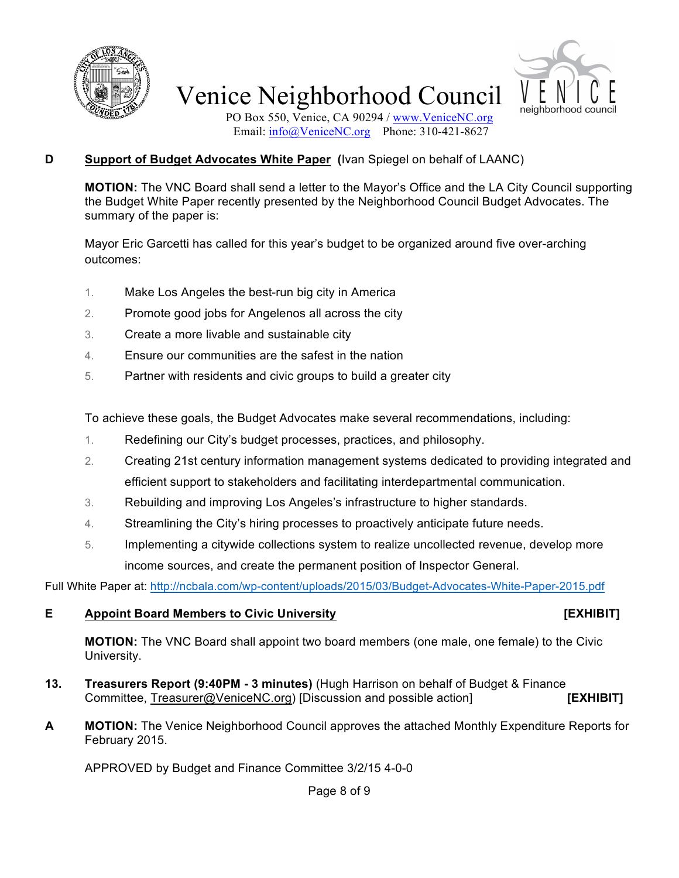



PO Box 550, Venice, CA 90294 / www.VeniceNC.org Email: info@VeniceNC.org Phone: 310-421-8627

#### **D Support of Budget Advocates White Paper (**Ivan Spiegel on behalf of LAANC)

**MOTION:** The VNC Board shall send a letter to the Mayor's Office and the LA City Council supporting the Budget White Paper recently presented by the Neighborhood Council Budget Advocates. The summary of the paper is:

Mayor Eric Garcetti has called for this year's budget to be organized around five over-arching outcomes:

- 1. Make Los Angeles the best-run big city in America
- 2. Promote good jobs for Angelenos all across the city
- 3. Create a more livable and sustainable city
- 4. Ensure our communities are the safest in the nation
- 5. Partner with residents and civic groups to build a greater city

To achieve these goals, the Budget Advocates make several recommendations, including:

- 1. Redefining our City's budget processes, practices, and philosophy.
- 2. Creating 21st century information management systems dedicated to providing integrated and efficient support to stakeholders and facilitating interdepartmental communication.
- 3. Rebuilding and improving Los Angeles's infrastructure to higher standards.
- 4. Streamlining the City's hiring processes to proactively anticipate future needs.
- 5. Implementing a citywide collections system to realize uncollected revenue, develop more income sources, and create the permanent position of Inspector General.

Full White Paper at: http://ncbala.com/wp-content/uploads/2015/03/Budget-Advocates-White-Paper-2015.pdf

#### **E Appoint Board Members to Civic University [EXHIBIT]**

**MOTION:** The VNC Board shall appoint two board members (one male, one female) to the Civic University.

- **13. Treasurers Report (9:40PM - 3 minutes)** (Hugh Harrison on behalf of Budget & Finance Committee, Treasurer@VeniceNC.org) [Discussion and possible action] **[EXHIBIT]**
- **A MOTION:** The Venice Neighborhood Council approves the attached Monthly Expenditure Reports for February 2015.

APPROVED by Budget and Finance Committee 3/2/15 4-0-0